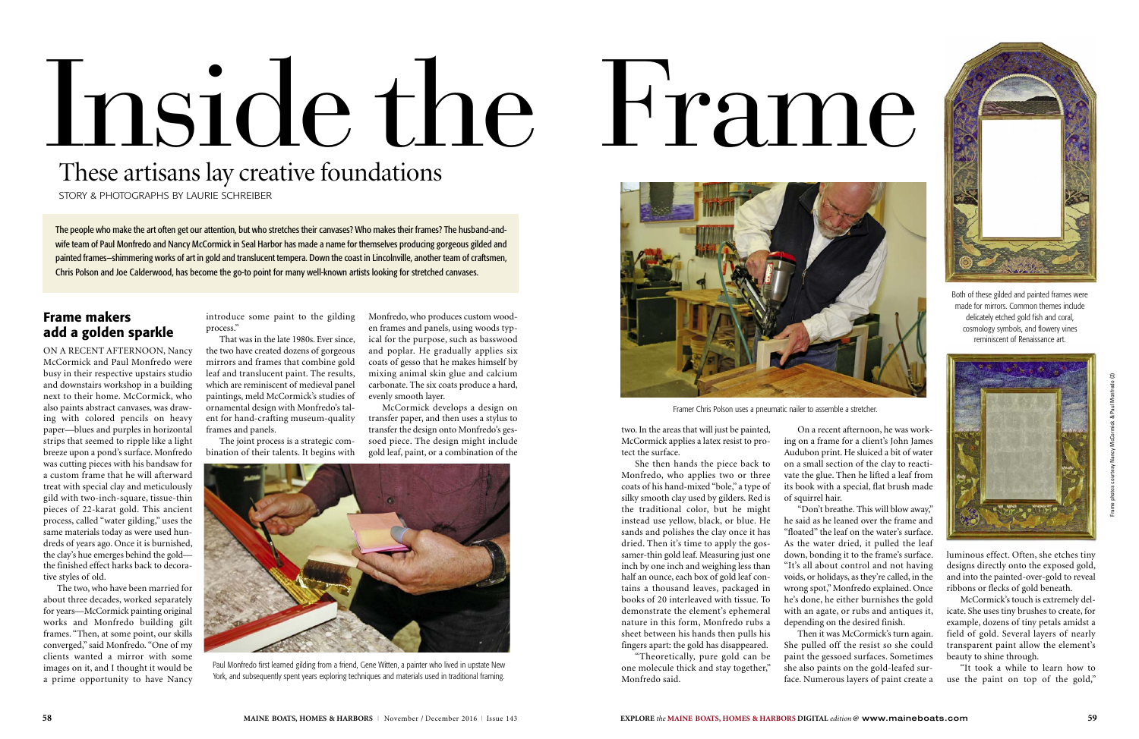two. In the areas that will just be painted, McCormick applies a latex resist to protect the surface.

She then hands the piece back to Monfredo, who applies two or three coats of his hand-mixed "bole," a type of silky smooth clay used by gilders. Red is the traditional color, but he might instead use yellow, black, or blue. He sands and polishes the clay once it has dried. Then it's time to apply the gossamer-thin gold leaf. Measuring just one inch by one inch and weighing less than half an ounce, each box of gold leaf contains a thousand leaves, packaged in books of 20 interleaved with tissue. To demonstrate the element's ephemeral nature in this form, Monfredo rubs a sheet between his hands then pulls his fingers apart: the gold has disappeared.

"Don't breathe. This will blow away," he said as he leaned over the frame and "floated" the leaf on the water's surface. As the water dried, it pulled the leaf down, bonding it to the frame's surface. "It's all about control and not having voids, or holidays, as they're called, in the wrong spot," Monfredo explained. Once he's done, he either burnishes the gold with an agate, or rubs and antiques it, depending on the desired finish.

"Theoretically, pure gold can be one molecule thick and stay together," Monfredo said.

On a recent afternoon, he was working on a frame for a client's John James Audubon print. He sluiced a bit of water on a small section of the clay to reactivate the glue. Then he lifted a leaf from its book with a special, flat brush made of squirrel hair.

Then it was McCormick's turn again. She pulled off the resist so she could paint the gessoed surfaces. Sometimes she also paints on the gold-leafed surface. Numerous layers of paint create a luminous effect. Often, she etches tiny designs directly onto the exposed gold, and into the painted-over-gold to reveal ribbons or flecks of gold beneath.

McCormick's touch is extremely delicate. She uses tiny brushes to create, for example, dozens of tiny petals amidst a field of gold. Several layers of nearly transparent paint allow the element's beauty to shine through.

"It took a while to learn how to use the paint on top of the gold,"



Paul Monfredo first learned gilding from a friend, Gene Witten, a painter who lived in upstate New York, and subsequently spent years exploring techniques and materials used in traditional framing.

# **Frame makers add a golden sparkle**

ON A RECENT AFTERNOON, Nancy McCormick and Paul Monfredo were busy in their respective upstairs studio and downstairs workshop in a building next to their home. McCormick, who also paints abstract canvases, was drawing with colored pencils on heavy paper—blues and purples in horizontal strips that seemed to ripple like a light breeze upon a pond's surface. Monfredo was cutting pieces with his bandsaw for a custom frame that he will afterward treat with special clay and meticulously gild with two-inch-square, tissue-thin pieces of 22-karat gold. This ancient process, called "water gilding," uses the same materials today as were used hundreds of years ago. Once it is burnished, the clay's hue emerges behind the gold the finished effect harks back to decorative styles of old.

The two, who have been married for about three decades, worked separately for years—McCormick painting original works and Monfredo building gilt frames. "Then, at some point, our skills converged," said Monfredo. "One of my clients wanted a mirror with some images on it, and I thought it would be a prime opportunity to have Nancy

introduce some paint to the gilding process."

That was in the late 1980s. Ever since, the two have created dozens of gorgeous mirrors and frames that combine gold leaf and translucent paint. The results, which are reminiscent of medieval panel paintings, meld McCormick's studies of ornamental design with Monfredo's talent for hand-crafting museum-quality frames and panels.

The joint process is a strategic combination of their talents. It begins with Monfredo, who produces custom wooden frames and panels, using woods typical for the purpose, such as basswood and poplar. He gradually applies six coats of gesso that he makes himself by mixing animal skin glue and calcium carbonate. The six coats produce a hard, evenly smooth layer.

McCormick develops a design on transfer paper, and then uses a stylus to transfer the design onto Monfredo's gessoed piece. The design might include gold leaf, paint, or a combination of the

# These artisans lay creative foundations

STORY & PHOTOGRAPHS BY LAURIE SCHREIBER

# Inside the Frame



Framer Chris Polson uses a pneumatic nailer to assemble a stretcher.



Both of these gilded and painted frames were made for mirrors. Common themes include delicately etched gold fish and coral, cosmology symbols, and flowery vines reminiscent of Renaissance art.



The people who make the art often get our attention, but who stretches their canvases? Who makes their frames? The husband-andwife team of Paul Monfredo and Nancy McCormick in Seal Harbor has made a name for themselves producing gorgeous gilded and painted frames—shimmering works of art in gold and translucent tempera. Down the coast in Lincolnville, another team of craftsmen, Chris Polson and Joe Calderwood, has become the go-to point for many well-known artists looking for stretched canvases.